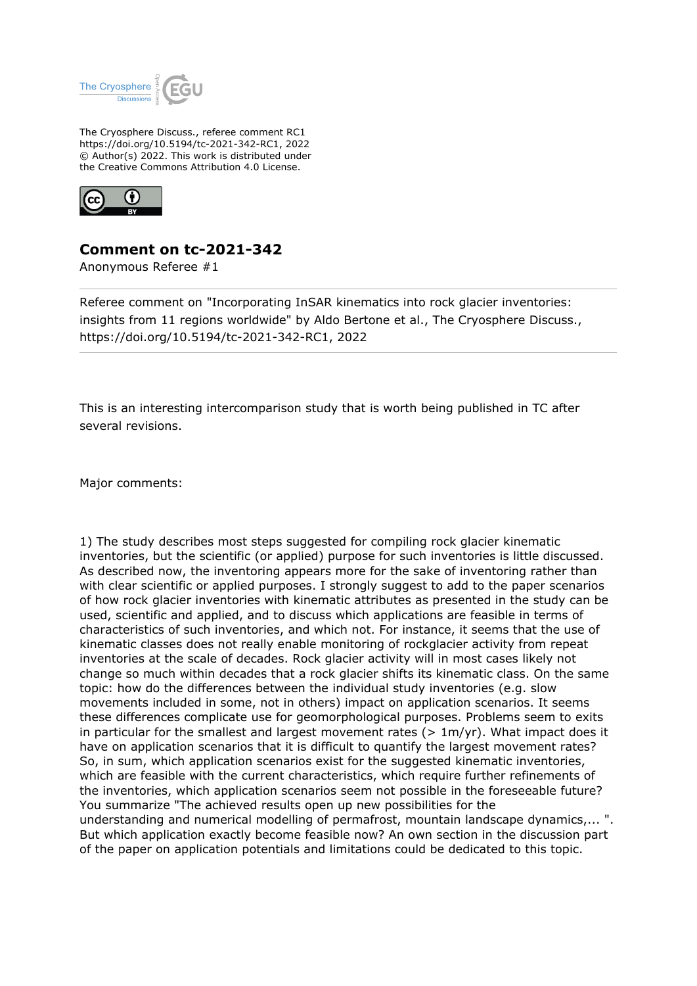

The Cryosphere Discuss., referee comment RC1 https://doi.org/10.5194/tc-2021-342-RC1, 2022 © Author(s) 2022. This work is distributed under the Creative Commons Attribution 4.0 License.



## **Comment on tc-2021-342**

Anonymous Referee #1

Referee comment on "Incorporating InSAR kinematics into rock glacier inventories: insights from 11 regions worldwide" by Aldo Bertone et al., The Cryosphere Discuss., https://doi.org/10.5194/tc-2021-342-RC1, 2022

This is an interesting intercomparison study that is worth being published in TC after several revisions.

Major comments:

1) The study describes most steps suggested for compiling rock glacier kinematic inventories, but the scientific (or applied) purpose for such inventories is little discussed. As described now, the inventoring appears more for the sake of inventoring rather than with clear scientific or applied purposes. I strongly suggest to add to the paper scenarios of how rock glacier inventories with kinematic attributes as presented in the study can be used, scientific and applied, and to discuss which applications are feasible in terms of characteristics of such inventories, and which not. For instance, it seems that the use of kinematic classes does not really enable monitoring of rockglacier activity from repeat inventories at the scale of decades. Rock glacier activity will in most cases likely not change so much within decades that a rock glacier shifts its kinematic class. On the same topic: how do the differences between the individual study inventories (e.g. slow movements included in some, not in others) impact on application scenarios. It seems these differences complicate use for geomorphological purposes. Problems seem to exits in particular for the smallest and largest movement rates ( $> 1m/yr$ ). What impact does it have on application scenarios that it is difficult to quantify the largest movement rates? So, in sum, which application scenarios exist for the suggested kinematic inventories, which are feasible with the current characteristics, which require further refinements of the inventories, which application scenarios seem not possible in the foreseeable future? You summarize "The achieved results open up new possibilities for the understanding and numerical modelling of permafrost, mountain landscape dynamics,... ". But which application exactly become feasible now? An own section in the discussion part of the paper on application potentials and limitations could be dedicated to this topic.